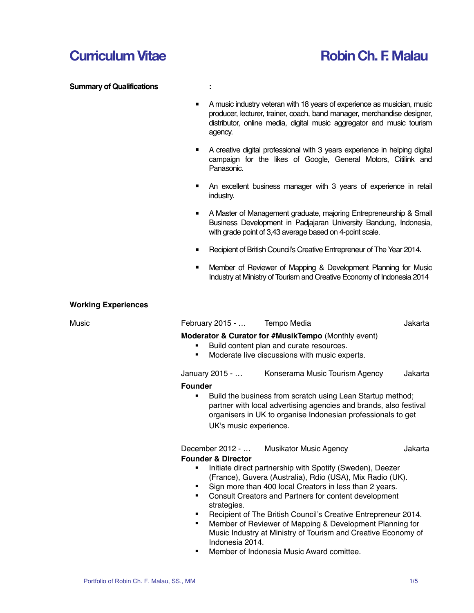# **Curriculum Vitae Robin Ch. F. Malau**

### **Summary of Qualifications :**

- 
- ! A music industry veteran with 18 years of experience as musician, music producer, lecturer, trainer, coach, band manager, merchandise designer, distributor, online media, digital music aggregator and music tourism agency.
- ! A creative digital professional with 3 years experience in helping digital campaign for the likes of Google, General Motors, Citilink and Panasonic.
- **E** An excellent business manager with 3 years of experience in retail industry.
- **A Master of Management graduate, majoring Entrepreneurship & Small** Business Development in Padjajaran University Bandung, Indonesia, with grade point of 3,43 average based on 4-point scale.
- **EXECT** Recipient of British Council's Creative Entrepreneur of The Year 2014.
- ! Member of Reviewer of Mapping & Development Planning for Music Industry at Ministry of Tourism and Creative Economy of Indonesia 2014

#### **Working Experiences**

| Music | February 2015 -  Tempo Media                                                                                                                                                                                                                                   |                                                                                                                                                                                                 | Jakarta |  |  |
|-------|----------------------------------------------------------------------------------------------------------------------------------------------------------------------------------------------------------------------------------------------------------------|-------------------------------------------------------------------------------------------------------------------------------------------------------------------------------------------------|---------|--|--|
|       | ٠<br>٠                                                                                                                                                                                                                                                         | Moderator & Curator for #MusikTempo (Monthly event)<br>Build content plan and curate resources.<br>Moderate live discussions with music experts.                                                |         |  |  |
|       |                                                                                                                                                                                                                                                                | January 2015 -  Konserama Music Tourism Agency                                                                                                                                                  | Jakarta |  |  |
|       | <b>Founder</b>                                                                                                                                                                                                                                                 |                                                                                                                                                                                                 |         |  |  |
|       | ٠<br>UK's music experience.                                                                                                                                                                                                                                    | Build the business from scratch using Lean Startup method;<br>partner with local advertising agencies and brands, also festival<br>organisers in UK to organise Indonesian professionals to get |         |  |  |
|       |                                                                                                                                                                                                                                                                | December 2012 -  Musikator Music Agency                                                                                                                                                         | Jakarta |  |  |
|       | <b>Founder &amp; Director</b>                                                                                                                                                                                                                                  |                                                                                                                                                                                                 |         |  |  |
|       | Initiate direct partnership with Spotify (Sweden), Deezer<br>(France), Guvera (Australia), Rdio (USA), Mix Radio (UK).<br>Sign more than 400 local Creators in less than 2 years.<br>Consult Creators and Partners for content development<br>٠<br>strategies. |                                                                                                                                                                                                 |         |  |  |
|       | ٠<br>٠<br>Indonesia 2014                                                                                                                                                                                                                                       | Recipient of The British Council's Creative Entrepreneur 2014.<br>Member of Reviewer of Mapping & Development Planning for<br>Music Industry at Ministry of Tourism and Creative Economy of     |         |  |  |

! Member of Indonesia Music Award comittee.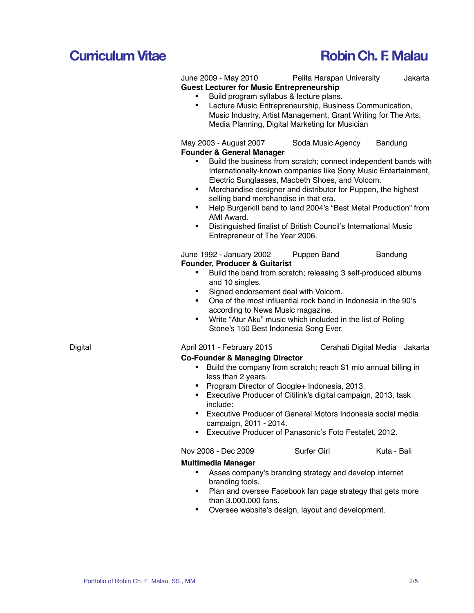# **Curriculum Vitae Robin Ch. F. Malau**

June 2009 - May 2010 Pelita Harapan University Jakarta **Guest Lecturer for Music Entrepreneurship**

### Build program syllabus & lecture plans.

Lecture Music Entrepreneurship, Business Communication, Music Industry, Artist Management, Grant Writing for The Arts, Media Planning, Digital Marketing for Musician

May 2003 - August 2007 Soda Music Agency Bandung **Founder & General Manager**

- Build the business from scratch; connect independent bands with Internationally-known companies like Sony Music Entertainment, Electric Sunglasses, Macbeth Shoes, and Volcom.
- ! Merchandise designer and distributor for Puppen, the highest selling band merchandise in that era.
- ! Help Burgerkill band to land 2004's "Best Metal Production" from AMI Award.
- ! Distinguished finalist of British Council's International Music Entrepreneur of The Year 2006.

June 1992 - January 2002 Puppen Band Bandung **Founder, Producer & Guitarist**

- Build the band from scratch; releasing 3 self-produced albums and 10 singles.
- Signed endorsement deal with Volcom.
- ! One of the most influential rock band in Indonesia in the 90's according to News Music magazine.
- Write "Atur Aku" music which included in the list of Roling Stone's 150 Best Indonesia Song Ever.

Digital April 2011 - February 2015 Cerahati Digital Media Jakarta

## **Co-Founder & Managing Director**

- ! Build the company from scratch; reach \$1 mio annual billing in less than 2 years.
- ! Program Director of Google+ Indonesia, 2013.
- ! Executive Producer of Citilink's digital campaign, 2013, task include:
- **Executive Producer of General Motors Indonesia social media** campaign, 2011 - 2014.
- **Executive Producer of Panasonic's Foto Festafet, 2012.**

| Nov 2008 - Dec 2009 | Surfer Girl | Kuta - Bali |
|---------------------|-------------|-------------|
|                     |             |             |

### **Multimedia Manager**

- Asses company's branding strategy and develop internet branding tools.
- Plan and oversee Facebook fan page strategy that gets more than 3.000.000 fans.
- ! Oversee website's design, layout and development.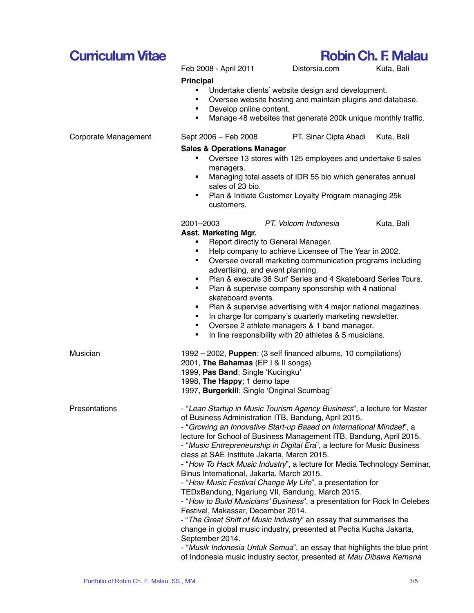### Portfolio of Robin Ch. F. Malau, SS., MM 3/5

# Develop online content. **Sales & Operations Manager** managers. sales of 23 bio. customers. **Asst. Marketing Mgr.** Report directly to General Manager. skateboard events. Musician 1992 – 2002, **Puppen**; (3 self financed albums, 10 compilations) 2001, **The Bahamas** (EP I & II songs)

# **Principal**

- Undertake clients' website design and development.
	- ! Oversee website hosting and maintain plugins and database.
- Manage 48 websites that generate 200k unique monthly traffic.

## Corporate Management Sept 2006 – Feb 2008 PT. Sinar Cipta Abadi Kuta, Bali

- ! Oversee 13 stores with 125 employees and undertake 6 sales
- **EXEDEE IS Managing total assets of IDR 55 bio which generates annual**
- **Plan & Initiate Customer Loyalty Program managing 25k**

# 2001–2003 *PT. Volcom Indonesia* Kuta, Bali

- 
- ! Help company to achieve Licensee of The Year in 2002.
- ! Oversee overall marketing communication programs including advertising, and event planning.
- **Plan & execute 36 Surf Series and 4 Skateboard Series Tours.**
- **Plan & supervise company sponsorship with 4 national**
- Plan & supervise advertising with 4 major national magazines.
- **I.** In charge for company's quarterly marketing newsletter.
- ! Oversee 2 athlete managers & 1 band manager.
- **IF In line responsibility with 20 athletes & 5 musicians.**

1999, **Pas Band**; Single 'Kucingku' 1998, **The Happy**; 1 demo tape 1997, **Burgerkill**; Single 'Original Scumbag' Presentations **- "Lean Startup in Music Tourism Agency Business**", a lecture for Master of Business Administration ITB, Bandung, April 2015. - "*Growing an Innovative Start-up Based on International Mindset*", a lecture for School of Business Management ITB, Bandung, April 2015. - "*Music Entrepreneurship in Digital Era*", a lecture for Music Business

class at SAE Institute Jakarta, March 2015.

- "*How To Hack Music Industry*", a lecture for Media Technology Seminar, Binus International, Jakarta, March 2015.

- "*How Music Festival Change My Life*", a presentation for

TEDxBandung, Ngariung VII, Bandung, March 2015.

- "*How to Build Musicians' Business*", a presentation for Rock In Celebes Festival, Makassar, December 2014.

- "*The Great Shift of Music Industry*" an essay that summarises the change in global music industry, presented at Pecha Kucha Jakarta, September 2014.

- "*Musik Indonesia Untuk Semua*", an essay that highlights the blue print of Indonesia music industry sector, presented at *Mau Dibawa Kemana* 

Feb 2008 - April 2011 Distorsia.com Kuta, Bali

# **Curriculum Vitae Robin Ch. F. Malau**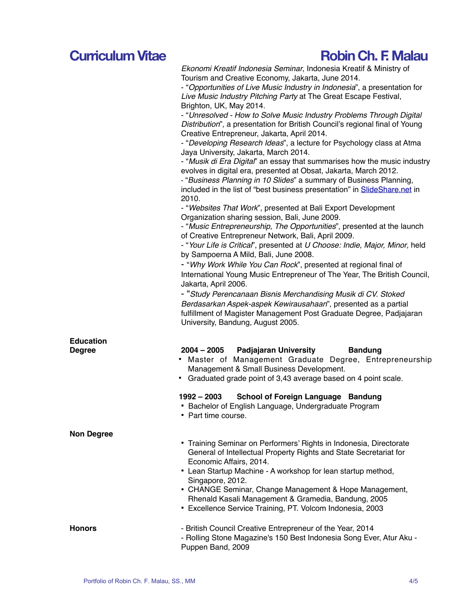# **Curriculum Vitae Robin Ch. F. Malau**

| Ekonomi Kreatif Indonesia Seminar, Indonesia Kreatif & Ministry of |  |
|--------------------------------------------------------------------|--|
| Tourism and Creative Economy, Jakarta, June 2014.                  |  |

- "*Opportunities of Live Music Industry in Indonesia*", a presentation for *Live Music Industry Pitching Party* at The Great Escape Festival, Brighton, UK, May 2014.

- "*Unresolved - How to Solve Music Industry Problems Through Digital Distribution*", a presentation for British Council's regional final of Young Creative Entrepreneur, Jakarta, April 2014.

- "*Developing Research Ideas*", a lecture for Psychology class at Atma Jaya University, Jakarta, March 2014.

- "*Musik di Era Digital*" an essay that summarises how the music industry evolves in digital era, presented at Obsat, Jakarta, March 2012.

- "*Business Planning in 10 Slides*" a summary of Business Planning, included in the list of "best business presentation" in [SlideShare.net](http://SlideShare.net) in 2010.

- "*Websites That Work*", presented at Bali Export Development Organization sharing session, Bali, June 2009.

- "*Music Entrepreneurship, The Opportunities*", presented at the launch of Creative Entrepreneur Network, Bali, April 2009.

- "*Your Life is Critical*", presented at *U Choose: Indie, Major, Minor*, held by Sampoerna A Mild, Bali, June 2008.

- "*Why Work While You Can Rock*", presented at regional final of International Young Music Entrepreneur of The Year, The British Council, Jakarta, April 2006.

- "*Study Perencanaan Bisnis Merchandising Musik di CV. Stoked Berdasarkan Aspek-aspek Kewirausahaan*", presented as a partial fulfillment of Magister Management Post Graduate Degree, Padjajaran University, Bandung, August 2005.

| <b>Education</b>  |                                                                                                                                                                                                                      |  |  |
|-------------------|----------------------------------------------------------------------------------------------------------------------------------------------------------------------------------------------------------------------|--|--|
| Degree            | 2004 - 2005 Padjajaran University Bandung<br>• Master of Management Graduate Degree, Entrepreneurship<br>Management & Small Business Development.<br>• Graduated grade point of 3,43 average based on 4 point scale. |  |  |
|                   | 1992 – 2003 School of Foreign Language Bandung<br>• Bachelor of English Language, Undergraduate Program<br>• Part time course.                                                                                       |  |  |
| <b>Non Degree</b> |                                                                                                                                                                                                                      |  |  |
|                   | • Training Seminar on Performers' Rights in Indonesia, Directorate<br>General of Intellectual Property Rights and State Secretariat for<br>Economic Affairs, 2014.                                                   |  |  |
|                   | • Lean Startup Machine - A workshop for lean startup method,<br>Singapore, 2012.                                                                                                                                     |  |  |
|                   | • CHANGE Seminar, Change Management & Hope Management,<br>Rhenald Kasali Management & Gramedia, Bandung, 2005<br>• Excellence Service Training, PT. Volcom Indonesia, 2003                                           |  |  |
| <b>Honors</b>     | - British Council Creative Entrepreneur of the Year, 2014<br>- Rolling Stone Magazine's 150 Best Indonesia Song Ever, Atur Aku -<br>Puppen Band, 2009                                                                |  |  |